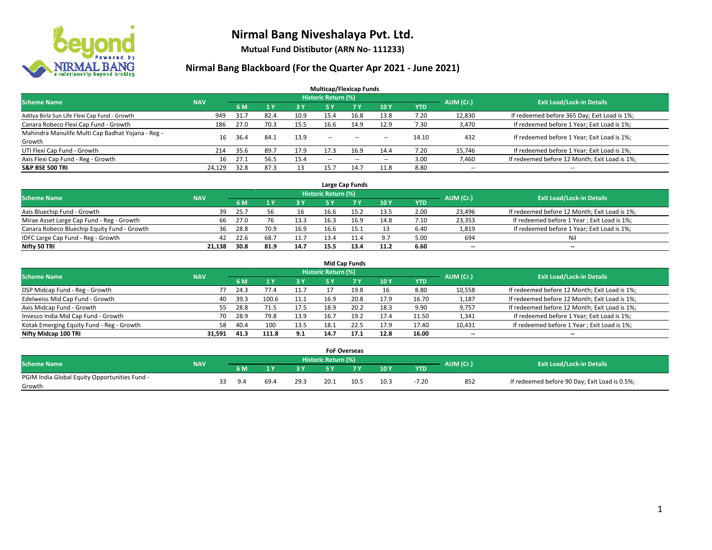

**Mutual Fund Distibutor (ARN No- 111233)**

| <b>Multicap/Flexicap Funds</b>                    |            |      |                |            |                            |                                                |                          |            |                          |                                               |  |  |  |
|---------------------------------------------------|------------|------|----------------|------------|----------------------------|------------------------------------------------|--------------------------|------------|--------------------------|-----------------------------------------------|--|--|--|
| <b>Scheme Name</b>                                | <b>NAV</b> |      |                |            | <b>Historic Return (%)</b> |                                                |                          |            | AUM (Cr.)                | <b>Exit Load/Lock-in Details</b>              |  |  |  |
|                                                   |            | 6 M  | 1 <sub>Y</sub> | <b>3 Y</b> | 5 Y                        | <b>7 Y</b>                                     | <b>10Y</b>               | <b>YTD</b> |                          |                                               |  |  |  |
| Aditya Birla Sun Life Flexi Cap Fund - Growth     | 949        | 31.7 | 82.4           | 10.9       | 15.4                       | 16.8                                           | 13.8                     | 7.20       | 12,830                   | If redeemed before 365 Day; Exit Load is 1%;  |  |  |  |
| Canara Robeco Flexi Cap Fund - Growth             | 186        | 27.0 | 70.3           | 15.5       | 16.6                       | 14.9                                           | 12.9                     | 7.30       | 3,470                    | If redeemed before 1 Year; Exit Load is 1%;   |  |  |  |
| Mahindra Manulife Multi Cap Badhat Yojana - Reg - | 16         | 36.4 | 84.1           | 13.9       | $\sim$ $\sim$              | $\hspace{0.1mm}-\hspace{0.1mm}-\hspace{0.1mm}$ |                          | 14.10      | 432                      | If redeemed before 1 Year; Exit Load is 1%;   |  |  |  |
| Growth                                            |            |      |                |            |                            |                                                | $\overline{\phantom{a}}$ |            |                          |                                               |  |  |  |
| UTI Flexi Cap Fund - Growth                       | 214        | 35.6 | 89.7           | 17.9       | 17.3                       | 16.9                                           | 14.4                     | 7.20       | 15,746                   | If redeemed before 1 Year; Exit Load is 1%;   |  |  |  |
| Axis Flexi Cap Fund - Reg - Growth                | 16         | 27.1 | 56.5           | 15.4       | $\overline{\phantom{a}}$   | $\sim$                                         | --                       | 3.00       | 7,460                    | If redeemed before 12 Month; Exit Load is 1%; |  |  |  |
| <b>S&amp;P BSE 500 TRI</b>                        | 24.129     | 32.8 | 87.3           | 13         | 15.                        | 14.7                                           | 11.8                     | 8.80       | $\overline{\phantom{a}}$ | $- -$                                         |  |  |  |

| Large Cap Funds                             |            |      |                  |      |                            |           |      |            |           |                                               |  |  |  |  |
|---------------------------------------------|------------|------|------------------|------|----------------------------|-----------|------|------------|-----------|-----------------------------------------------|--|--|--|--|
| <b>Scheme Name</b>                          | <b>NAV</b> |      |                  |      | <b>Historic Return (%)</b> |           |      |            | AUM (Cr.) | <b>Exit Load/Lock-in Details</b>              |  |  |  |  |
|                                             |            | 6 M  |                  | 3Y   |                            | <b>7Y</b> | 10Y  | <b>YTD</b> |           |                                               |  |  |  |  |
| Axis Bluechip Fund - Growth                 | 39         | 25.7 |                  | 16   | 16.6                       | 15.2      | 13.5 | 2.00       | 23,496    | If redeemed before 12 Month; Exit Load is 1%; |  |  |  |  |
| Mirae Asset Large Cap Fund - Reg - Growth   | 66.        | 27.0 |                  | 13.3 | 16.3                       | 16.9      | 14.8 | 7.10       | 23,353    | If redeemed before 1 Year; Exit Load is 1%;   |  |  |  |  |
| Canara Robeco Bluechip Equity Fund - Growth | 36         | 28.8 | 70.9             | 16.9 | 16.6                       |           |      | 6.40       | 1,819     | If redeemed before 1 Year; Exit Load is 1%;   |  |  |  |  |
| IDFC Large Cap Fund - Reg - Growth          | 42         | 22.6 | 68. <sup>-</sup> | 11.7 | 13.4                       |           | 9.7  | 5.00       | 694       | Nil                                           |  |  |  |  |
| Nifty 50 TRI                                | 21.138     | 30.8 | 81.9             | 14.7 | 15.5                       | 13.4      | 11.2 | 6.60       | $- -$     | $- -$                                         |  |  |  |  |

| <b>Mid Cap Funds</b>                      |            |            |                                  |           |      |      |      |            |                          |                                               |  |  |  |  |
|-------------------------------------------|------------|------------|----------------------------------|-----------|------|------|------|------------|--------------------------|-----------------------------------------------|--|--|--|--|
| <b>Scheme Name</b>                        | <b>NAV</b> | AUM (Cr.)  | <b>Exit Load/Lock-in Details</b> |           |      |      |      |            |                          |                                               |  |  |  |  |
|                                           |            | 6 M        |                                  | <b>3Y</b> | 5 Y  |      | 10Y  | <b>YTD</b> |                          |                                               |  |  |  |  |
| DSP Midcap Fund - Reg - Growth            |            | 24.3<br>77 | 77.4                             | 11.7      |      | 19.8 | 16   | 8.80       | 10,558                   | If redeemed before 12 Month; Exit Load is 1%; |  |  |  |  |
| Edelweiss Mid Cap Fund - Growth           |            | 39.3<br>40 | 100.6                            | 11.1      | 16.9 | 20.8 | 17.9 | 16.70      | 1,187                    | If redeemed before 12 Month; Exit Load is 1%; |  |  |  |  |
| Axis Midcap Fund - Growth                 |            | 28.8<br>55 | 71.5                             | 17.5      | 18.9 | 20.2 | 18.3 | 9.90       | 9,757                    | If redeemed before 12 Month; Exit Load is 1%; |  |  |  |  |
| Invesco India Mid Cap Fund - Growth       |            | 28.9<br>70 | 79.8                             | 13.9      | 16.7 | 19.2 | 17.4 | 11.50      | 1,341                    | If redeemed before 1 Year; Exit Load is 1%;   |  |  |  |  |
| Kotak Emerging Equity Fund - Reg - Growth |            | 40.4<br>58 | 100                              | 13.5      | 18.1 | 22.5 | 17.9 | 17.40      | 10,431                   | If redeemed before 1 Year; Exit Load is 1%;   |  |  |  |  |
| Nifty Midcap 100 TRI                      | 31.591     | 41.3       | 111.8                            | 9.1       | 14.7 | 17.1 | 12.8 | 16.00      | $\overline{\phantom{m}}$ | $\overline{\phantom{a}}$                      |  |  |  |  |

|                                                         |            |    |             |     |      | <b>FoF Overseas</b>        |      |      |            |           |                                               |
|---------------------------------------------------------|------------|----|-------------|-----|------|----------------------------|------|------|------------|-----------|-----------------------------------------------|
| Scheme Name                                             | <b>NAV</b> |    |             |     |      | <b>Historic Return (%)</b> |      |      |            | AUM (Cr.) | <b>Exit Load/Lock-in Details</b>              |
|                                                         |            |    | 6 M         |     | o v  |                            | 7 V  | 10Y  | <b>YTD</b> |           |                                               |
| PGIM India Global Equity Opportunities Fund -<br>Growth |            | 33 | $Q \Lambda$ | 69. | 29.3 | 20.1                       | 10.5 | 10.3 | $-7.20$    | 852       | If redeemed before 90 Day; Exit Load is 0.5%; |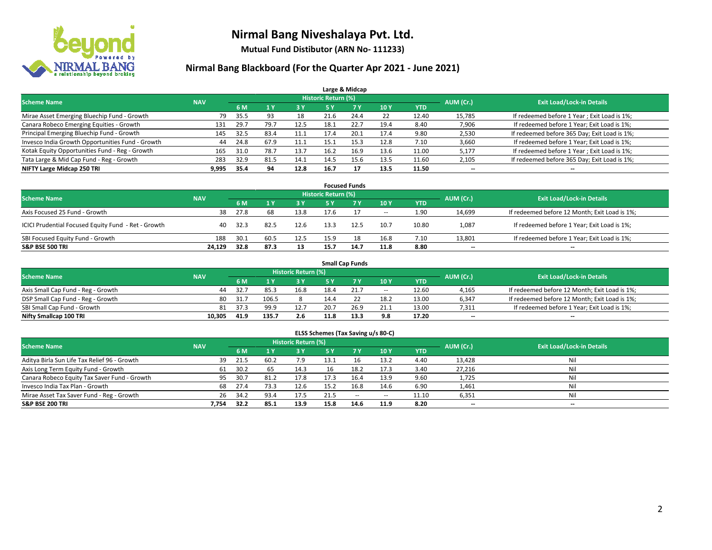

**Mutual Fund Distibutor (ARN No- 111233)**

| Large & Midcap                                   |            |      |      |      |                            |      |      |            |           |                                              |  |  |  |  |
|--------------------------------------------------|------------|------|------|------|----------------------------|------|------|------------|-----------|----------------------------------------------|--|--|--|--|
| <b>Scheme Name</b>                               | <b>NAV</b> |      |      |      | <b>Historic Return (%)</b> |      |      |            | AUM (Cr.) | <b>Exit Load/Lock-in Details</b>             |  |  |  |  |
|                                                  |            | 6 M  |      | 3 Y  | 5 Y                        | 7 Y  | 10Y  | <b>YTD</b> |           |                                              |  |  |  |  |
| Mirae Asset Emerging Bluechip Fund - Growth      | 79         | 35.5 | 93   | 18   | 21.6                       | 24.4 | 22   | 12.40      | 15,785    | If redeemed before 1 Year; Exit Load is 1%;  |  |  |  |  |
| Canara Robeco Emerging Equities - Growth         | 131        | 29.7 | 79.7 | 12.5 | د.18                       | 22.7 | 19.4 | 8.40       | 7,906     | If redeemed before 1 Year; Exit Load is 1%;  |  |  |  |  |
| Principal Emerging Bluechip Fund - Growth        | 145        | 32.5 | 83.4 | 11.1 | 17.4                       | 20.1 | 17.4 | 9.80       | 2,530     | If redeemed before 365 Day; Exit Load is 1%; |  |  |  |  |
| Invesco India Growth Opportunities Fund - Growth | 44         | 24.8 | 67.9 | 11.1 | 15.1                       | 15.3 | 12.8 | 7.10       | 3,660     | If redeemed before 1 Year; Exit Load is 1%;  |  |  |  |  |
| Kotak Equity Opportunities Fund - Reg - Growth   | 165        | 31.0 | 78.7 | 13.7 | 16.2                       | 16.9 | 13.6 | 11.00      | 5,177     | If redeemed before 1 Year; Exit Load is 1%;  |  |  |  |  |
| Tata Large & Mid Cap Fund - Reg - Growth         | 283        | 32.9 | 81.5 | 14.1 | 14.5                       | 15.6 | 13.5 | 11.60      | 2,105     | If redeemed before 365 Day; Exit Load is 1%; |  |  |  |  |
| NIFTY Large Midcap 250 TRI                       | 9,995      | 35.4 | 94   | 12.8 | 16.7                       | 17   | 13.5 | 11.50      | --        | --                                           |  |  |  |  |

| <b>Focused Funds</b>                                |            |      |      |            |                     |      |        |            |           |                                               |  |  |  |
|-----------------------------------------------------|------------|------|------|------------|---------------------|------|--------|------------|-----------|-----------------------------------------------|--|--|--|
| <b>Scheme Name</b>                                  | <b>NAV</b> |      |      |            | Historic Return (%) |      |        |            | AUM (Cr.) | <b>Exit Load/Lock-in Details</b>              |  |  |  |
|                                                     |            | 6 M  |      | <b>3 Y</b> | 5 Y                 |      | 10Y    | <b>YTD</b> |           |                                               |  |  |  |
| Axis Focused 25 Fund - Growth                       | 38         | 27.8 | 68   | 13.8       | 17.6                |      | $\sim$ | 1.90       | 14,699    | If redeemed before 12 Month; Exit Load is 1%; |  |  |  |
| ICICI Prudential Focused Equity Fund - Ret - Growth | 40         | 32.3 | 82.5 | 12.6       | 13.3                | 12.5 | 10.7   | 10.80      | 1,087     | If redeemed before 1 Year; Exit Load is 1%;   |  |  |  |
| SBI Focused Equity Fund - Growth                    | 188        | 30.1 | 60.5 | 12.5       | 15.9                | 18   | 16.8   | 7.10       | 13,801    | If redeemed before 1 Year; Exit Load is 1%;   |  |  |  |
| <b>S&amp;P BSE 500 TRI</b>                          | 24.129     | 32.8 | 87.3 | 13         | 15.7                | 14.7 | 11.8   | 8.80       | $- -$     | $\overline{\phantom{a}}$                      |  |  |  |

| <b>Small Cap Funds</b>             |            |      |       |                     |      |      |                   |       |           |                                               |  |  |  |  |
|------------------------------------|------------|------|-------|---------------------|------|------|-------------------|-------|-----------|-----------------------------------------------|--|--|--|--|
| <b>Scheme Name</b>                 | <b>NAV</b> |      |       | Historic Return (%) |      |      |                   |       | AUM (Cr.) | <b>Exit Load/Lock-in Details</b>              |  |  |  |  |
|                                    |            | 6 M  |       | 73 Y.               |      |      | 10Y               | YTD   |           |                                               |  |  |  |  |
| Axis Small Cap Fund - Reg - Growth | 44         | 32.7 | 85.3  | 16.8                | 18.4 | 21.7 | $\hspace{0.05cm}$ | 12.60 | 4,165     | If redeemed before 12 Month; Exit Load is 1%; |  |  |  |  |
| DSP Small Cap Fund - Reg - Growth  | 80         | 31.7 | 106.5 |                     | 14.4 |      | 18.2              | 13.00 | 6,347     | If redeemed before 12 Month; Exit Load is 1%; |  |  |  |  |
| SBI Small Cap Fund - Growth        | 81         | 37.3 | 99.9  | 12.7                | 20.7 | 26.9 | 21.1              | 13.00 | 7,311     | If redeemed before 1 Year; Exit Load is 1%;   |  |  |  |  |
| Nifty Smallcap 100 TRI             | 10.305     | 41.9 | 135.7 | 2.6                 | 11.8 | 13.3 | 9.8               | 17.20 | $- -$     | $\overline{\phantom{a}}$                      |  |  |  |  |

| ELSS Schemes (Tax Saving u/s 80-C)           |            |      |                |                            |           |            |            |            |           |                                  |  |  |  |
|----------------------------------------------|------------|------|----------------|----------------------------|-----------|------------|------------|------------|-----------|----------------------------------|--|--|--|
| <b>Scheme Name</b>                           | <b>NAV</b> |      |                | <b>Historic Return (%)</b> |           |            |            |            | AUM (Cr.) | <b>Exit Load/Lock-in Details</b> |  |  |  |
|                                              |            | 6 M  | 1 <sup>1</sup> | 3 Y                        | <b>5Y</b> | <b>7 Y</b> | <b>10Y</b> | <b>YTD</b> |           |                                  |  |  |  |
| Aditya Birla Sun Life Tax Relief 96 - Growth | 39         | 21.5 | 60.2           | 7.9                        | 13.1      | 16         | 13.2       | 4.40       | 13,428    | Nil                              |  |  |  |
| Axis Long Term Equity Fund - Growth          | 61         | 30.2 | 65             | 14.3                       | 16        | 18.2       | 17.3       | 3.40       | 27,216    | Nil                              |  |  |  |
| Canara Robeco Equity Tax Saver Fund - Growth | 95         | 30.7 | 81.2           | 17.8                       | 17.3      | 16.4       | 13.9       | 9.60       | 1,725     | Nil                              |  |  |  |
| Invesco India Tax Plan - Growth              | 68         | 27.4 | 73.3           | 12.6                       | 15.2      | 16.8       | 14.6       | 6.90       | 1,461     | Nil                              |  |  |  |
| Mirae Asset Tax Saver Fund - Reg - Growth    | 26         | 34.2 | 93.4           | 17.5                       | 21.5      | $\sim$     | $\!-$      | 11.10      | 6,351     | Nil                              |  |  |  |
| S&P BSE 200 TRI                              | 7.754      | 32.2 | 85.1           | 13.9                       | 15.8      | 14.6       | 11.9       | 8.20       | $- -$     | $\overline{\phantom{a}}$         |  |  |  |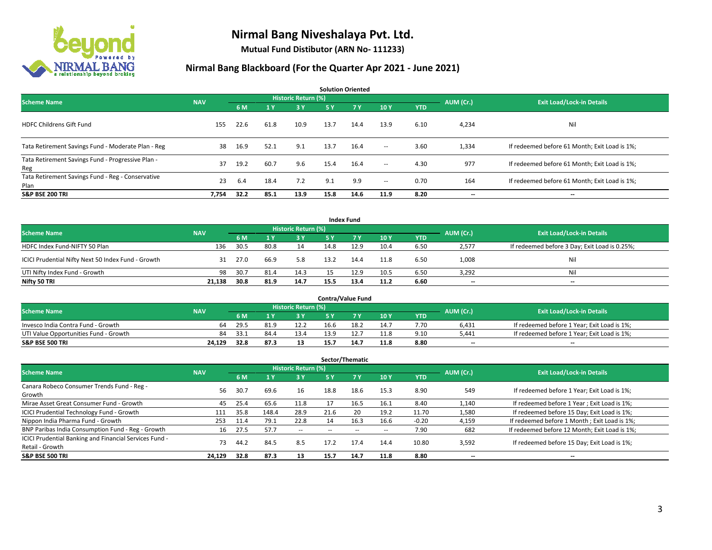

**Mutual Fund Distibutor (ARN No- 111233)**

| <b>Solution Oriented</b>                                  |            |      |                |                            |      |           |                          |            |           |                                               |  |  |  |
|-----------------------------------------------------------|------------|------|----------------|----------------------------|------|-----------|--------------------------|------------|-----------|-----------------------------------------------|--|--|--|
| <b>Scheme Name</b>                                        | <b>NAV</b> |      |                | <b>Historic Return (%)</b> |      |           |                          |            | AUM (Cr.) | <b>Exit Load/Lock-in Details</b>              |  |  |  |
|                                                           |            | 6 M  | 1 <sup>1</sup> | 3 Y                        | 5 Y  | <b>7Y</b> | 10Y                      | <b>YTD</b> |           |                                               |  |  |  |
| <b>HDFC Childrens Gift Fund</b>                           | 155        | 22.6 | 61.8           | 10.9                       | 13.7 | 14.4      | 13.9                     | 6.10       | 4,234     | Nil                                           |  |  |  |
| Tata Retirement Savings Fund - Moderate Plan - Reg        | 38         | 16.9 | 52.1           | 9.1                        | 13.7 | 16.4      | $\sim$                   | 3.60       | 1,334     | If redeemed before 61 Month; Exit Load is 1%; |  |  |  |
| Tata Retirement Savings Fund - Progressive Plan -<br>Reg  | 37         | 19.2 | 60.7           | 9.6                        | 15.4 | 16.4      | $ -$                     | 4.30       | 977       | If redeemed before 61 Month; Exit Load is 1%; |  |  |  |
| Tata Retirement Savings Fund - Reg - Conservative<br>Plan | 23         | 6.4  | 18.4           | 7.2                        | 9.1  | 9.9       | $\overline{\phantom{a}}$ | 0.70       | 164       | If redeemed before 61 Month; Exit Load is 1%; |  |  |  |
| <b>S&amp;P BSE 200 TRI</b>                                | 7,754      | 32.2 | 85.1           | 13.9                       | 15.8 | 14.6      | 11.9                     | 8.20       | --        | $\hspace{0.05cm}$                             |  |  |  |

| <b>Index Fund</b>                                  |            |      |      |                     |      |             |      |            |           |                                               |  |  |  |  |
|----------------------------------------------------|------------|------|------|---------------------|------|-------------|------|------------|-----------|-----------------------------------------------|--|--|--|--|
| <b>Scheme Name</b>                                 | <b>NAV</b> |      |      | Historic Return (%) |      |             |      |            | AUM (Cr.) | <b>Exit Load/Lock-in Details</b>              |  |  |  |  |
|                                                    |            | 6 M  |      | 3 Y                 | 5 Y  | <b>77 Y</b> | 10Y  | <b>YTD</b> |           |                                               |  |  |  |  |
| HDFC Index Fund-NIFTY 50 Plan                      | 136        | 30.5 | 80.8 | 14                  | 14.8 | 12.9        | 10.4 | 6.50       | 2,577     | If redeemed before 3 Day; Exit Load is 0.25%; |  |  |  |  |
| ICICI Prudential Nifty Next 50 Index Fund - Growth | 31         | 27.0 | 66.9 | 5.8                 | 13.2 | 14.4        | 11.8 | 6.50       | 1,008     | Nil                                           |  |  |  |  |
| UTI Nifty Index Fund - Growth                      | 98         | 30.7 | 81.4 | 14.3                |      | 12.9        | 10.5 | 6.50       | 3,292     | Nil                                           |  |  |  |  |
| Nifty 50 TRI                                       | 21,138     | 30.8 | 81.9 | 14.7                | 15.5 | 13.4        | 11.2 | 6.60       | $- -$     | $\overline{\phantom{a}}$                      |  |  |  |  |

|                                       |            |                                  |      |      |      | <b>Contra/Value Fund</b> |      |      |       |                                             |
|---------------------------------------|------------|----------------------------------|------|------|------|--------------------------|------|------|-------|---------------------------------------------|
| <b>Scheme Name</b>                    | AUM (Cr.)  | <b>Exit Load/Lock-in Details</b> |      |      |      |                          |      |      |       |                                             |
|                                       | <b>NAV</b> | 6 M                              |      | 3 Y  |      |                          | 10Y  | YTD  |       |                                             |
| Invesco India Contra Fund - Growth    | 64         | 29.5                             | 81.9 | 12.2 | 16.6 | 18.2                     | 14.7 | 7.70 | 6,431 | If redeemed before 1 Year; Exit Load is 1%; |
| UTI Value Opportunities Fund - Growth | 84         | -33.1                            | 84.4 | 13.4 | 13.9 |                          | 11.8 | 9.10 | 5,441 | If redeemed before 1 Year; Exit Load is 1%; |
| <b>S&amp;P BSE 500 TRI</b>            | 24.129     | 32.8                             | 87.3 | 13   | 15.7 | 14.7                     | 11.8 | 8.80 | $- -$ | $\overline{\phantom{a}}$                    |

|                                                                           |            |      |                |                          |      | Sector/Thematic |      |            |           |                                               |
|---------------------------------------------------------------------------|------------|------|----------------|--------------------------|------|-----------------|------|------------|-----------|-----------------------------------------------|
| <b>Scheme Name</b>                                                        | <b>NAV</b> |      |                | Historic Return (%)      |      |                 |      |            | AUM (Cr.) | <b>Exit Load/Lock-in Details</b>              |
|                                                                           |            | 6 M  | 4 <sub>Y</sub> | <b>3Y</b>                | 5 Y  | 7Y              | 10Y  | <b>YTD</b> |           |                                               |
| Canara Robeco Consumer Trends Fund - Reg -<br>Growth                      | 56         | 30.7 | 69.6           | 16                       | 18.8 | 18.6            | 15.3 | 8.90       | 549       | If redeemed before 1 Year; Exit Load is 1%;   |
| Mirae Asset Great Consumer Fund - Growth                                  | 45         | 25.4 | 65.6           | 11.8                     | 17   | 16.5            | 16.1 | 8.40       | 1,140     | If redeemed before 1 Year; Exit Load is 1%;   |
| <b>ICICI Prudential Technology Fund - Growth</b>                          | 111        | 35.8 | 148.4          | 28.9                     | 21.6 | 20              | 19.2 | 11.70      | 1,580     | If redeemed before 15 Day; Exit Load is 1%;   |
| Nippon India Pharma Fund - Growth                                         | 253        | 11.4 | 79.1           | 22.8                     | 14   | 16.3            | 16.6 | $-0.20$    | 4,159     | If redeemed before 1 Month; Exit Load is 1%;  |
| BNP Paribas India Consumption Fund - Reg - Growth                         | 16         | 27.5 | 57.7           | $\overline{\phantom{a}}$ |      |                 | --   | 7.90       | 682       | If redeemed before 12 Month; Exit Load is 1%; |
| ICICI Prudential Banking and Financial Services Fund -<br>Retail - Growth | 73         | 44.2 | 84.5           | 8.5                      | 17.2 | 17.4            | 14.4 | 10.80      | 3,592     | If redeemed before 15 Day; Exit Load is 1%;   |
| <b>S&amp;P BSE 500 TRI</b>                                                | 24,129     | 32.8 | 87.3           | 13                       | 15.7 | 14.7            | 11.8 | 8.80       | --        | --                                            |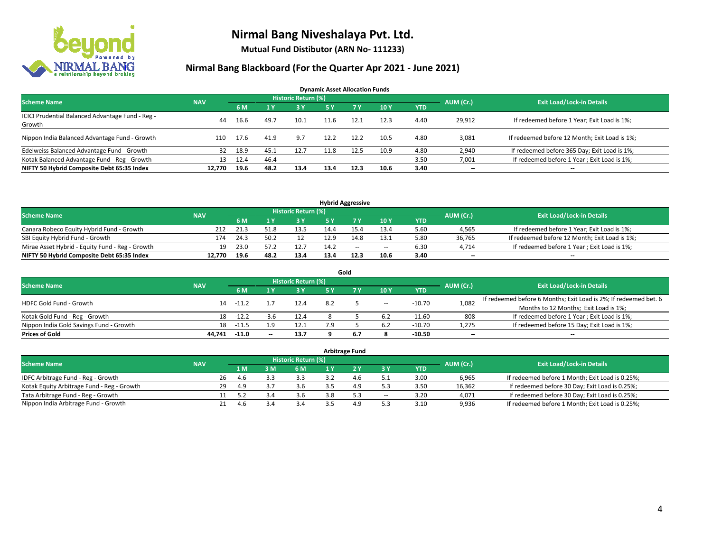

**Mutual Fund Distibutor (ARN No- 111233)**

| <b>Dynamic Asset Allocation Funds</b>                      |            |      |      |                            |               |        |                          |            |           |                                               |  |  |  |
|------------------------------------------------------------|------------|------|------|----------------------------|---------------|--------|--------------------------|------------|-----------|-----------------------------------------------|--|--|--|
| <b>Scheme Name</b>                                         | <b>NAV</b> |      |      | <b>Historic Return (%)</b> |               |        |                          |            | AUM (Cr.) | <b>Exit Load/Lock-in Details</b>              |  |  |  |
|                                                            |            | 6 M  |      | 3 Y                        | 5 Y           | 7 Y    | 10 Y                     | <b>YTD</b> |           |                                               |  |  |  |
| ICICI Prudential Balanced Advantage Fund - Reg -<br>Growth | 44         | 16.6 | 49.7 | 10.1                       | 11.6          | 12.1   | 12.3                     | 4.40       | 29,912    | If redeemed before 1 Year; Exit Load is 1%;   |  |  |  |
| Nippon India Balanced Advantage Fund - Growth              | 110        | 17.6 | 41.9 | 9.7                        | 12.2          | 12.2   | 10.5                     | 4.80       | 3,081     | If redeemed before 12 Month; Exit Load is 1%; |  |  |  |
| Edelweiss Balanced Advantage Fund - Growth                 | 32         | 18.9 | 45.1 | 12.7                       | 11.8          | 12.5   | 10.9                     | 4.80       | 2,940     | If redeemed before 365 Day; Exit Load is 1%;  |  |  |  |
| Kotak Balanced Advantage Fund - Reg - Growth               | 13         | 12.4 | 46.4 | $\sim$ $-$                 | $\sim$ $\sim$ | $\sim$ | $\overline{\phantom{a}}$ | 3.50       | 7,001     | If redeemed before 1 Year; Exit Load is 1%;   |  |  |  |
| NIFTY 50 Hybrid Composite Debt 65:35 Index                 | 12.770     | 19.6 | 48.2 | 13.4                       | 13.4          | 12.3   | 10.6                     | 3.40       | $- -$     | --                                            |  |  |  |

| <b>Hybrid Aggressive</b>                        |            |      |      |                     |      |        |        |            |           |                                               |  |  |  |
|-------------------------------------------------|------------|------|------|---------------------|------|--------|--------|------------|-----------|-----------------------------------------------|--|--|--|
| <b>Scheme Name</b>                              | <b>NAV</b> |      |      | Historic Return (%) |      |        |        |            | AUM (Cr.) | <b>Exit Load/Lock-in Details</b>              |  |  |  |
|                                                 |            | 6 M  |      | 3 Y                 |      |        | 10Y    | <b>YTD</b> |           |                                               |  |  |  |
| Canara Robeco Equity Hybrid Fund - Growth       | 212        | 21.3 |      | 13.5                |      |        | 13.4   | 5.60       | 4,565     | If redeemed before 1 Year; Exit Load is 1%;   |  |  |  |
| SBI Equity Hybrid Fund - Growth                 | 174        | 24.3 | 50.2 |                     | 12.9 |        | 13.1   | 5.80       | 36.765    | If redeemed before 12 Month; Exit Load is 1%; |  |  |  |
| Mirae Asset Hybrid - Equity Fund - Reg - Growth | 19         | 23.0 |      | 12.7                | 14.2 | $\sim$ | $\sim$ | 6.30       | 4.714     | If redeemed before 1 Year; Exit Load is 1%;   |  |  |  |
| NIFTY 50 Hybrid Composite Debt 65:35 Index      | 12.770     | 19.6 | 48.2 | 13.4                | 13.4 | 12.3   | 10.6   | 3.40       | $-$       | $- -$                                         |  |  |  |

| Gold                                    |            |         |       |                     |     |  |       |          |                          |                                                                  |  |  |  |
|-----------------------------------------|------------|---------|-------|---------------------|-----|--|-------|----------|--------------------------|------------------------------------------------------------------|--|--|--|
| <b>Scheme Name</b>                      | <b>NAV</b> |         |       | Historic Return (%) |     |  |       |          | AUM (Cr.)                | <b>Exit Load/Lock-in Details</b>                                 |  |  |  |
|                                         |            | 6 M     |       | 3 Y                 | 5 ٧ |  | 10Y   | YTD      |                          |                                                                  |  |  |  |
| <b>HDFC Gold Fund - Growth</b>          | 14         | $-11.2$ |       | 12.4                | 8.2 |  | $\!-$ | $-10.70$ | 1,082                    | If redeemed before 6 Months; Exit Load is 2%; If redeemed bet. 6 |  |  |  |
|                                         |            |         |       |                     |     |  |       |          |                          | Months to 12 Months; Exit Load is 1%;                            |  |  |  |
| Kotak Gold Fund - Reg - Growth          | 18         | $-12.2$ | -3.t  | 12.4                |     |  | 6.2   | $-11.60$ | 808                      | If redeemed before 1 Year; Exit Load is 1%;                      |  |  |  |
| Nippon India Gold Savings Fund - Growth | 18         | $-11.5$ | q     | 12.1                | ہ 7 |  | 6.2   | $-10.70$ | 1,275                    | If redeemed before 15 Day; Exit Load is 1%;                      |  |  |  |
| <b>Prices of Gold</b>                   | 44.741     | $-11.0$ | $- -$ | 13.7                |     |  |       | $-10.50$ | $\overline{\phantom{a}}$ | --                                                               |  |  |  |

| Arbitrage Fund                             |            |    |     |     |                     |  |     |        |            |           |                                                 |  |  |
|--------------------------------------------|------------|----|-----|-----|---------------------|--|-----|--------|------------|-----------|-------------------------------------------------|--|--|
| <b>Scheme Name</b>                         | <b>NAV</b> |    |     |     | Historic Return (%) |  |     |        |            | AUM (Cr.) | <b>Exit Load/Lock-in Details</b>                |  |  |
|                                            |            |    | 1 M | 3 M | 6 M                 |  |     | 3 Y    | <b>YTD</b> |           |                                                 |  |  |
| IDFC Arbitrage Fund - Reg - Growth         |            | 26 | 4.b |     | 3.3                 |  |     |        | 3.00       | 6,965     | If redeemed before 1 Month; Exit Load is 0.25%; |  |  |
| Kotak Equity Arbitrage Fund - Reg - Growth |            | 29 | 4.9 |     | 3.6                 |  | 4.9 | 5.3    | 3.50       | 16,362    | If redeemed before 30 Day; Exit Load is 0.25%;  |  |  |
| Tata Arbitrage Fund - Reg - Growth         |            |    | 5.2 |     | 3.6                 |  | 5.3 | $\sim$ | 3.20       | 4,071     | If redeemed before 30 Day; Exit Load is 0.25%;  |  |  |
| Nippon India Arbitrage Fund - Growth       |            |    |     |     | 3.4                 |  | 4.9 |        | 3.10       | 9,936     | If redeemed before 1 Month; Exit Load is 0.25%; |  |  |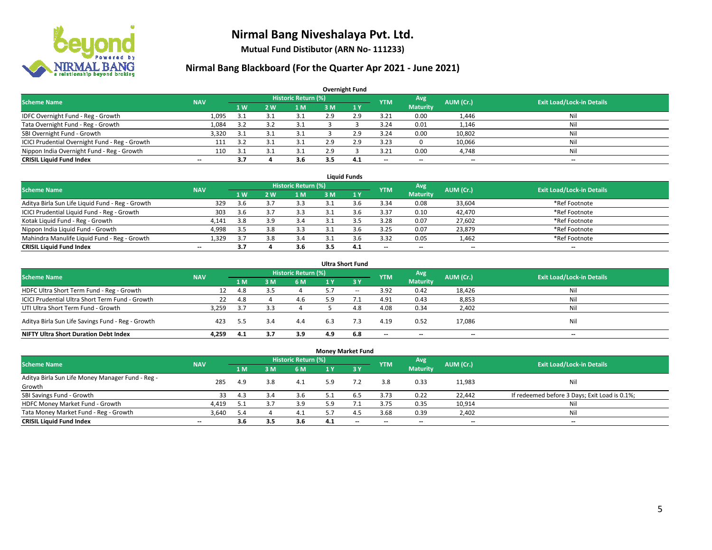

**Mutual Fund Distibutor (ARN No- 111233)**

| <b>Overnight Fund</b>                          |            |      |     |                            |     |     |                          |                          |                          |                                  |  |  |  |
|------------------------------------------------|------------|------|-----|----------------------------|-----|-----|--------------------------|--------------------------|--------------------------|----------------------------------|--|--|--|
| <b>Scheme Name</b>                             | <b>NAV</b> |      |     | <b>Historic Return (%)</b> |     |     | <b>YTM</b>               | Avg                      | AUM (Cr.)                | <b>Exit Load/Lock-in Details</b> |  |  |  |
|                                                |            | 71 W | 2 W | 1 M                        | 3 M | 1Y  |                          | <b>Maturity</b>          |                          |                                  |  |  |  |
| IDFC Overnight Fund - Reg - Growth             | 1,095      | 3.1  |     | 21                         | 2.9 | 2.9 | 3.21                     | 0.00                     | 1,446                    | Nil                              |  |  |  |
| Tata Overnight Fund - Reg - Growth             | 1,084      | 3.2  |     | 3.1                        |     |     | 3.24                     | 0.01                     | 1,146                    | Nil                              |  |  |  |
| SBI Overnight Fund - Growth                    | 3,320      | 3.1  |     | 3.1                        |     | 2.9 | 3.24                     | 0.00                     | 10,802                   | Nil                              |  |  |  |
| ICICI Prudential Overnight Fund - Reg - Growth | 111        | 3.2  |     |                            | 2.9 | 2.9 | 3.23                     |                          | 10,066                   | Nil                              |  |  |  |
| Nippon India Overnight Fund - Reg - Growth     | 110        | -3.1 |     | 21                         | 2.9 |     | 3.21                     | 0.00                     | 4,748                    | Nil                              |  |  |  |
| <b>CRISIL Liquid Fund Index</b>                | $- -$      | 3.7  |     | 3.6                        | 3.5 | 4.1 | $\overline{\phantom{a}}$ | $\overline{\phantom{a}}$ | $\overline{\phantom{a}}$ | $-$                              |  |  |  |

| <b>Liauid Funds</b>                              |            |     |            |                     |     |     |                          |                          |           |                                  |  |  |  |
|--------------------------------------------------|------------|-----|------------|---------------------|-----|-----|--------------------------|--------------------------|-----------|----------------------------------|--|--|--|
| <b>Scheme Name</b>                               | <b>NAV</b> |     |            | Historic Return (%) |     |     | <b>YTM</b>               | Avg                      | AUM (Cr.) | <b>Exit Load/Lock-in Details</b> |  |  |  |
|                                                  |            | 1 W | <b>2 W</b> | 1 M                 | зM  |     |                          | <b>Maturity</b>          |           |                                  |  |  |  |
| Aditya Birla Sun Life Liquid Fund - Reg - Growth | 329        | 3.6 |            | 3.3                 |     |     | 3.34                     | 0.08                     | 33,604    | *Ref Footnote                    |  |  |  |
| ICICI Prudential Liquid Fund - Reg - Growth      | 303        | 3.6 |            | 3.3                 |     |     | 3.37                     | 0.10                     | 42,470    | *Ref Footnote                    |  |  |  |
| Kotak Liquid Fund - Reg - Growth                 | 4,141      | 3.8 | ıο         | 3.4                 |     |     | 3.28                     | 0.07                     | 27,602    | *Ref Footnote                    |  |  |  |
| Nippon India Liquid Fund - Growth                | 4,998      | 3.5 |            | 3.3                 |     |     | 3.25                     | 0.07                     | 23,879    | *Ref Footnote                    |  |  |  |
| Mahindra Manulife Liquid Fund - Reg - Growth     | 1,329      | 3.7 | 3.8        | 3.4                 |     | s.b | 3.32                     | 0.05                     | 1,462     | *Ref Footnote                    |  |  |  |
| <b>CRISIL Liquid Fund Index</b>                  | $- -$      | 3.7 |            | 3.6                 | 3.5 | 4.1 | $\overline{\phantom{a}}$ | $\overline{\phantom{a}}$ | $- -$     | $\overline{\phantom{a}}$         |  |  |  |

| <b>Ultra Short Fund</b>                                                                                                              |       |      |     |     |     |       |                          |                          |        |     |  |  |  |  |
|--------------------------------------------------------------------------------------------------------------------------------------|-------|------|-----|-----|-----|-------|--------------------------|--------------------------|--------|-----|--|--|--|--|
| <b>Historic Return (%)</b><br>Avg<br><b>Exit Load/Lock-in Details</b><br>AUM (Cr.)<br><b>Scheme Name</b><br><b>NAV</b><br><b>YTM</b> |       |      |     |     |     |       |                          |                          |        |     |  |  |  |  |
|                                                                                                                                      |       | 1 M  | з м | 6 M | 1 Y | $-3V$ |                          | <b>Maturity</b>          |        |     |  |  |  |  |
| HDFC Ultra Short Term Fund - Reg - Growth                                                                                            | 12    | 4.8  | 3.5 |     | 5.7 | $- -$ | 3.92                     | 0.42                     | 18,426 | Nil |  |  |  |  |
| ICICI Prudential Ultra Short Term Fund - Growth                                                                                      | 22    | 4.8  |     | 4.6 | 5.9 |       | 4.91                     | 0.43                     | 8,853  | Ni  |  |  |  |  |
| UTI Ultra Short Term Fund - Growth                                                                                                   | 3,259 | 3.7  | 3.3 |     |     | 4.8   | 4.08                     | 0.34                     | 2,402  | Ni  |  |  |  |  |
| Aditya Birla Sun Life Savings Fund - Reg - Growth                                                                                    | 423   | -5.5 | 3.4 | 4.4 | 6.3 | 7.3   | 4.19                     | 0.52                     | 17,086 | Nil |  |  |  |  |
| <b>NIFTY Ultra Short Duration Debt Index</b>                                                                                         | 4.259 | 4.1  |     | 3.9 | 4.9 | 6.8   | $\overline{\phantom{a}}$ | $\overline{\phantom{a}}$ | $- -$  | $-$ |  |  |  |  |

| <b>Money Market Fund</b>                         |                          |                |                |                            |     |                          |                          |                          |           |                                               |  |  |  |  |
|--------------------------------------------------|--------------------------|----------------|----------------|----------------------------|-----|--------------------------|--------------------------|--------------------------|-----------|-----------------------------------------------|--|--|--|--|
| <b>Scheme Name</b>                               | <b>NAV</b>               |                |                | <b>Historic Return (%)</b> |     |                          | <b>YTM</b>               | Avg                      | AUM (Cr.) | <b>Exit Load/Lock-in Details</b>              |  |  |  |  |
|                                                  |                          | 1 <sub>M</sub> | 3 <sub>M</sub> | 6 M                        | 1 Y | $Z_3V$                   |                          | <b>Maturity</b>          |           |                                               |  |  |  |  |
| Aditya Birla Sun Life Money Manager Fund - Reg - | 285                      | 4.9            | 3.8            | 4.1                        | 5.9 |                          | 3.8                      | 0.33                     | 11,983    | Nil                                           |  |  |  |  |
| Growth                                           |                          |                |                |                            |     |                          |                          |                          |           |                                               |  |  |  |  |
| SBI Savings Fund - Growth                        | 33                       | 4.3            | 3.4            | 3.6                        |     |                          | 3.73                     | 0.22                     | 22,442    | If redeemed before 3 Days; Exit Load is 0.1%; |  |  |  |  |
| HDFC Money Market Fund - Growth                  | 4,419                    | 5.1            |                | 3.9                        | 5 Q |                          | 3.75                     | 0.35                     | 10,914    | Nil                                           |  |  |  |  |
| Tata Money Market Fund - Reg - Growth            | 3,640                    | 5.4            |                | 4.1                        |     | 4.5                      | 3.68                     | 0.39                     | 2,402     | Nil                                           |  |  |  |  |
| <b>CRISIL Liquid Fund Index</b>                  | $\overline{\phantom{a}}$ | 3.6            | 3.5            | 3.6                        | 4.1 | $\overline{\phantom{a}}$ | $\overline{\phantom{a}}$ | $\overline{\phantom{a}}$ | $- -$     | $\overline{\phantom{a}}$                      |  |  |  |  |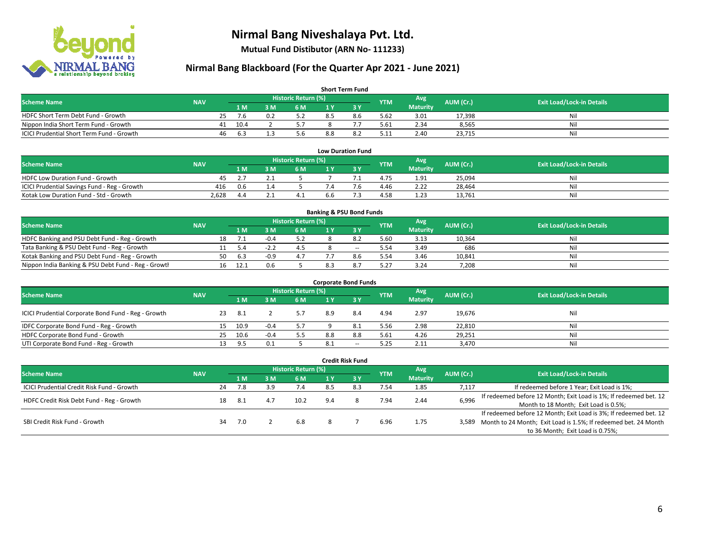

**Mutual Fund Distibutor (ARN No- 111233)**

| <b>Short Term Fund</b>                    |            |    |      |     |                            |     |     |            |                 |           |                                  |  |  |
|-------------------------------------------|------------|----|------|-----|----------------------------|-----|-----|------------|-----------------|-----------|----------------------------------|--|--|
| <b>Scheme Name</b>                        | <b>NAV</b> |    |      |     | <b>Historic Return (%)</b> |     |     | <b>YTM</b> | Avg             | AUM (Cr.) | <b>Exit Load/Lock-in Details</b> |  |  |
|                                           |            |    | 1 M. | 3 M | 6 M                        | 1 V |     |            | <b>Maturity</b> |           |                                  |  |  |
| HDFC Short Term Debt Fund - Growth        |            | 25 | 7.6  |     |                            | 8.5 | 8.6 | 5.62       | 3.01            | 17,398    | Nil                              |  |  |
| Nippon India Short Term Fund - Growth     |            | 41 | 10.4 |     |                            |     |     | 5.61       | 2.34            | 8,565     | Nil                              |  |  |
| ICICI Prudential Short Term Fund - Growth |            | 46 | 6.3  |     | 5.6                        | 8.8 |     | 5.11       | 2.40            | 23.715    | Nil                              |  |  |

| <b>Low Duration Fund</b>                     |            |     |  |                       |     |  |            |                 |           |                                  |  |  |  |
|----------------------------------------------|------------|-----|--|-----------------------|-----|--|------------|-----------------|-----------|----------------------------------|--|--|--|
| <b>Scheme Name</b>                           | <b>NAV</b> |     |  | Historic Return (%)   |     |  | <b>YTM</b> | Avg             | AUM (Cr.) | <b>Exit Load/Lock-in Details</b> |  |  |  |
|                                              |            | 1 M |  | 6 M                   |     |  |            | <b>Maturity</b> |           |                                  |  |  |  |
| <b>HDFC Low Duration Fund - Growth</b>       | 45         |     |  |                       |     |  | 4.75       | 1.91            | 25,094    | Nil                              |  |  |  |
| ICICI Prudential Savings Fund - Reg - Growth | 416        | 0.6 |  |                       |     |  | 4.46       | 2.22            | 28,464    | Nil                              |  |  |  |
| Kotak Low Duration Fund - Std - Growth       | 2.628      | 44  |  | $\overline{a}$<br>4.⊥ | 6.6 |  | 4.58       | 1.23            | 13.761    | Nil                              |  |  |  |

| <b>Banking &amp; PSU Bond Funds</b>                 |            |    |      |        |                     |  |        |            |                 |           |                                  |  |  |
|-----------------------------------------------------|------------|----|------|--------|---------------------|--|--------|------------|-----------------|-----------|----------------------------------|--|--|
| <b>Scheme Name</b>                                  | <b>NAV</b> |    |      |        | Historic Return (%) |  |        | <b>YTM</b> | Avg             | AUM (Cr.) | <b>Exit Load/Lock-in Details</b> |  |  |
|                                                     |            |    | 1 M  | ۱M     | 6 M                 |  |        |            | <b>Maturity</b> |           |                                  |  |  |
| HDFC Banking and PSU Debt Fund - Reg - Growth       |            | 18 |      |        | 5.2                 |  |        | 5.60       | 3.13            | 10,364    | Nil                              |  |  |
| Tata Banking & PSU Debt Fund - Reg - Growth         |            |    | 5.4  | - 1    |                     |  | $\sim$ | 5.54       | 3.49            | 686       | Nil                              |  |  |
| Kotak Banking and PSU Debt Fund - Reg - Growth      |            | 50 | 6.3  | $-0.9$ | 4.7                 |  | 8.6    | 5.54       | 3.46            | 10.841    | Nil                              |  |  |
| Nippon India Banking & PSU Debt Fund - Reg - Growth |            | 16 | 12.1 | 0.6    |                     |  |        | 5.27       | 3.24            | 7,208     | Nil                              |  |  |

| <b>Corporate Bond Funds</b>                         |            |    |      |        |                            |     |                          |            |                 |           |                                  |  |  |
|-----------------------------------------------------|------------|----|------|--------|----------------------------|-----|--------------------------|------------|-----------------|-----------|----------------------------------|--|--|
| <b>Scheme Name</b>                                  | <b>NAV</b> |    |      |        | <b>Historic Return (%)</b> |     |                          | <b>YTM</b> | Avg             | AUM (Cr.) | <b>Exit Load/Lock-in Details</b> |  |  |
|                                                     |            |    | 1 M  | : M    | 6 M                        |     | <b>RY</b>                |            | <b>Maturity</b> |           |                                  |  |  |
| ICICI Prudential Corporate Bond Fund - Reg - Growth |            | 23 | -8.1 |        |                            | 8.9 | 8.4                      | 4.94       | 2.97            | 19,676    | Nil                              |  |  |
| IDFC Corporate Bond Fund - Reg - Growth             |            | 15 | 10.9 | $-0.4$ |                            |     | 8.1                      | 5.56       | 2.98            | 22,810    | Nil                              |  |  |
| HDFC Corporate Bond Fund - Growth                   |            | 25 | 10.6 | $-0.4$ | 5.5                        | 8.8 | 8.8                      | 5.61       | 4.26            | 29,251    | Nil                              |  |  |
| UTI Corporate Bond Fund - Reg - Growth              |            |    | 9.5  | 0.1    |                            | 8.1 | $\overline{\phantom{a}}$ | 5.25       | 2.11            | 3,470     | Nil                              |  |  |

| <b>Credit Risk Fund</b>                           |            |    |                            |     |      |     |       |            |                 |           |                                                                       |
|---------------------------------------------------|------------|----|----------------------------|-----|------|-----|-------|------------|-----------------|-----------|-----------------------------------------------------------------------|
| <b>Scheme Name</b>                                | <b>NAV</b> |    | <b>Historic Return (%)</b> |     |      |     |       |            | Avg             | AUM (Cr.) | <b>Exit Load/Lock-in Details</b>                                      |
|                                                   |            |    | 1 M                        | 8 M | 6 M  | 1 Y | $-3V$ | <b>YTM</b> | <b>Maturity</b> |           |                                                                       |
| <b>ICICI Prudential Credit Risk Fund - Growth</b> |            | 24 | 7.8                        | 3.9 | 7.4  | 8.5 | 8.3   | 7.54       | 1.85            | 7,117     | If redeemed before 1 Year; Exit Load is 1%;                           |
| HDFC Credit Risk Debt Fund - Reg - Growth         |            | 18 |                            |     | 10.2 | 9.4 |       | 7.94       | 2.44            | 6,996     | If redeemed before 12 Month; Exit Load is 1%; If redeemed bet. 12     |
|                                                   |            |    | -8.1                       | 4.7 |      |     |       |            |                 |           | Month to 18 Month; Exit Load is 0.5%;                                 |
| SBI Credit Risk Fund - Growth                     |            |    |                            |     |      |     |       |            |                 |           | If redeemed before 12 Month; Exit Load is 3%; If redeemed bet. 12     |
|                                                   |            | 34 | 7.0                        |     | 6.8  |     |       | 6.96       | 1.75            |           | 3,589 Month to 24 Month; Exit Load is 1.5%; If redeemed bet. 24 Month |
|                                                   |            |    |                            |     |      |     |       |            |                 |           | to 36 Month; Exit Load is 0.75%;                                      |